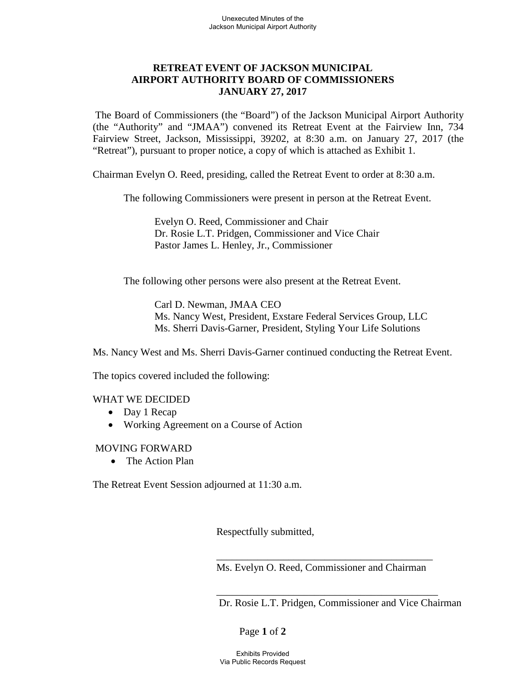## **RETREAT EVENT OF JACKSON MUNICIPAL AIRPORT AUTHORITY BOARD OF COMMISSIONERS JANUARY 27, 2017**

The Board of Commissioners (the "Board") of the Jackson Municipal Airport Authority (the "Authority" and "JMAA") convened its Retreat Event at the Fairview Inn, 734 Fairview Street, Jackson, Mississippi, 39202, at 8:30 a.m. on January 27, 2017 (the "Retreat"), pursuant to proper notice, a copy of which is attached as Exhibit 1.

Chairman Evelyn O. Reed, presiding, called the Retreat Event to order at 8:30 a.m.

The following Commissioners were present in person at the Retreat Event.

Evelyn O. Reed, Commissioner and Chair Dr. Rosie L.T. Pridgen, Commissioner and Vice Chair Pastor James L. Henley, Jr., Commissioner

The following other persons were also present at the Retreat Event.

Carl D. Newman, JMAA CEO Ms. Nancy West, President, Exstare Federal Services Group, LLC Ms. Sherri Davis-Garner, President, Styling Your Life Solutions

Ms. Nancy West and Ms. Sherri Davis-Garner continued conducting the Retreat Event.

The topics covered included the following:

## WHAT WE DECIDED

- Day 1 Recap
- Working Agreement on a Course of Action

## MOVING FORWARD

• The Action Plan

The Retreat Event Session adjourned at 11:30 a.m.

Respectfully submitted,

\_\_\_\_\_\_\_\_\_\_\_\_\_\_\_\_\_\_\_\_\_\_\_\_\_\_\_\_\_\_\_\_\_\_\_\_\_\_\_\_\_\_ Ms. Evelyn O. Reed, Commissioner and Chairman

\_\_\_\_\_\_\_\_\_\_\_\_\_\_\_\_\_\_\_\_\_\_\_\_\_\_\_\_\_\_\_\_\_\_\_\_\_\_\_\_\_\_\_

Dr. Rosie L.T. Pridgen, Commissioner and Vice Chairman

## Page **1** of **2**